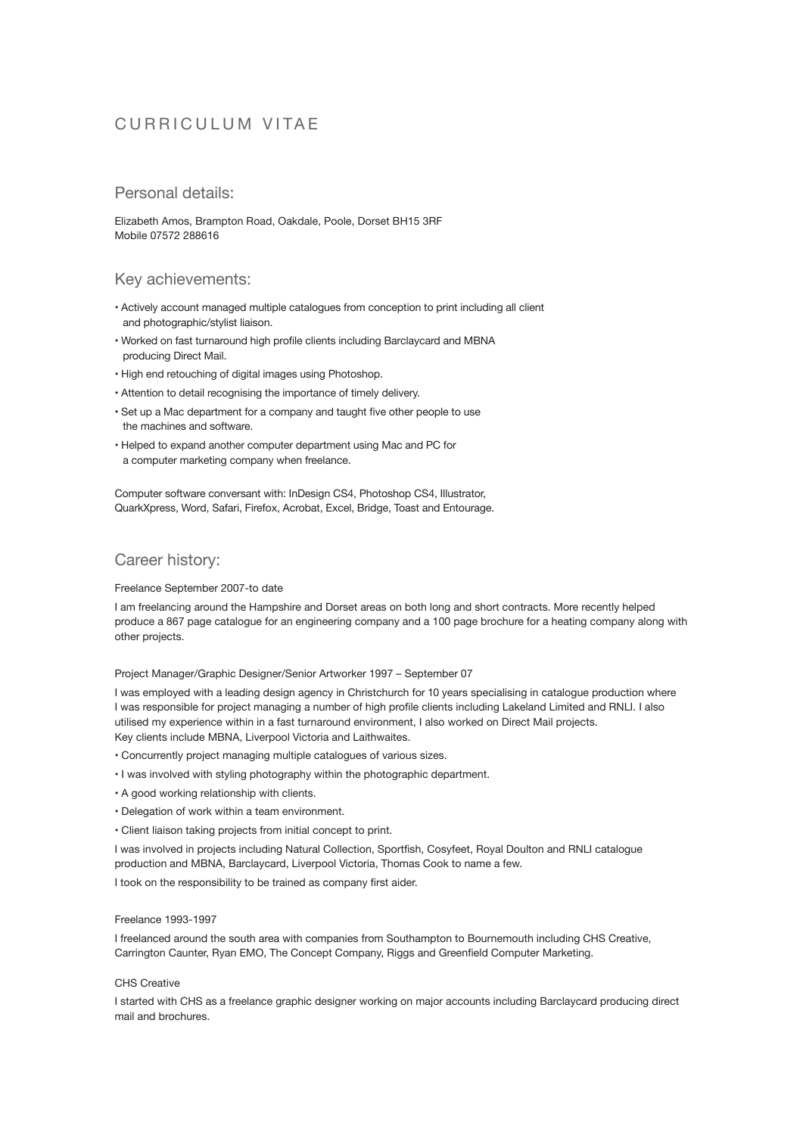# CURRICULUM VITAE

## Personal details:

Elizabeth Amos, Brampton Road, Oakdale, Poole, Dorset BH15 3RF Mobile 07572 288616

### Key achievements:

- Actively account managed multiple catalogues from conception to print including all client and photographic/stylist liaison.
- Worked on fast turnaround high profile clients including Barclaycard and MBNA producing Direct Mail.
- High end retouching of digital images using Photoshop.
- Attention to detail recognising the importance of timely delivery.
- Set up a Mac department for a company and taught five other people to use the machines and software.
- Helped to expand another computer department using Mac and PC for a computer marketing company when freelance.

Computer software conversant with: InDesign CS4, Photoshop CS4, Illustrator, QuarkXpress, Word, Safari, Firefox, Acrobat, Excel, Bridge, Toast and Entourage.

# Career history:

### Freelance September 2007-to date

I am freelancing around the Hampshire and Dorset areas on both long and short contracts. More recently helped produce a 867 page catalogue for an engineering company and a 100 page brochure for a heating company along with other projects.

Project Manager/Graphic Designer/Senior Artworker 1997 – September 07

I was employed with a leading design agency in Christchurch for 10 years specialising in catalogue production where I was responsible for project managing a number of high profile clients including Lakeland Limited and RNLI. I also utilised my experience within in a fast turnaround environment, I also worked on Direct Mail projects. Key clients include MBNA, Liverpool Victoria and Laithwaites.

- Concurrently project managing multiple catalogues of various sizes.
- I was involved with styling photography within the photographic department.
- A good working relationship with clients.
- Delegation of work within a team environment.
- Client liaison taking projects from initial concept to print.

I was involved in projects including Natural Collection, Sportfish, Cosyfeet, Royal Doulton and RNLI catalogue production and MBNA, Barclaycard, Liverpool Victoria, Thomas Cook to name a few.

I took on the responsibility to be trained as company first aider.

### Freelance 1993-1997

I freelanced around the south area with companies from Southampton to Bournemouth including CHS Creative, Carrington Caunter, Ryan EMO, The Concept Company, Riggs and Greenfield Computer Marketing.

### CHS Creative

I started with CHS as a freelance graphic designer working on major accounts including Barclaycard producing direct mail and brochures.